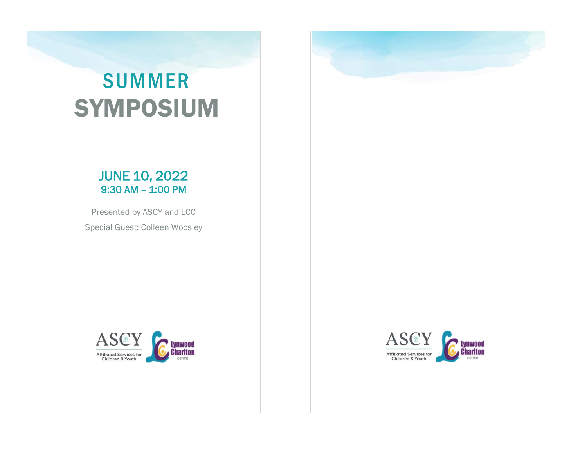## SUMMER SYMPOSIUM

### JUNE 10, 2022 9:30 AM – 1:00 PM

Presented by ASCY and LCC Special Guest: Colleen Woosley